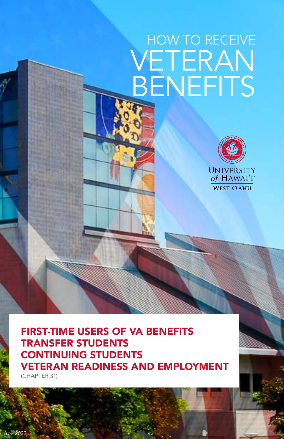# HOW TO RECEIVE VETERAN **BENEFITS**



FIRST-TIME USERS OF VA BENEFITS TRANSFER STUDENTS CONTINUING STUDENTS VETERAN READINESS AND EMPLOYMENT (CHAPTER 31)

Apr. 2022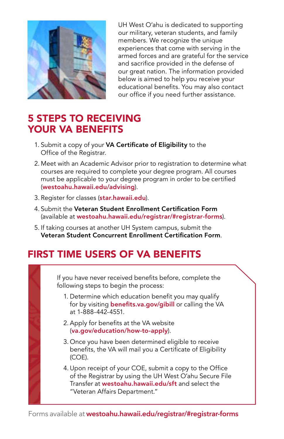

UH West O'ahu is dedicated to supporting our military, veteran students, and family members. We recognize the unique experiences that come with serving in the armed forces and are grateful for the service and sacrifice provided in the defense of our great nation. The information provided below is aimed to help you receive your educational benefits. You may also contact our office if you need further assistance.

#### 5 STEPS TO RECEIVING YOUR VA BENEFITS

- 1. Submit a copy of your VA Certificate of Eligibility to the Office of the Registrar.
- 2. Meet with an Academic Advisor prior to registration to determine what courses are required to complete your degree program. All courses must be applicable to your degree program in order to be certified (westoahu.hawaii.edu/advising).
- 3. Register for classes (star.hawaii.edu).
- 4. Submit the Veteran Student Enrollment Certification Form (available at westoahu.hawaii.edu/registrar/#registrar-forms).
- 5. If taking courses at another UH System campus, submit the Veteran Student Concurrent Enrollment Certification Form.

#### FIRST TIME USERS OF VA BENEFITS

If you have never received benefits before, complete the following steps to begin the process:

- 1. Determine which education benefit you may qualify for by visiting benefits.va.gov/gibill or calling the VA at 1-888-442-4551.
- 2. Apply for benefits at the VA website (va.gov/education/how-to-apply).
- 3. Once you have been determined eligible to receive benefits, the VA will mail you a Certificate of Eligibility (COE).
- 4. Upon receipt of your COE, submit a copy to the Office of the Registrar by using the UH West O'ahu Secure File Transfer at westoahu.hawaii.edu/sft and select the "Veteran Affairs Department."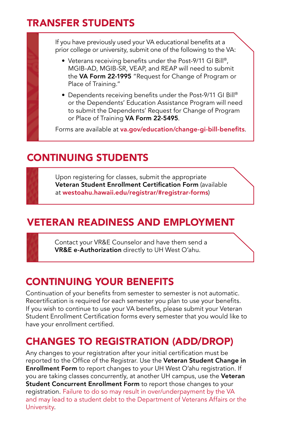### TRANSFER STUDENTS



If you have previously used your VA educational benefits at a prior college or university, submit one of the following to the VA:

- Veterans receiving benefits under the Post-9/11 GI Bill®, MGIB-AD, MGIB-SR, VEAP, and REAP will need to submit the VA Form 22-1995 "Request for Change of Program or Place of Training."
- Dependents receiving benefits under the Post-9/11 GI Bill® or the Dependents' Education Assistance Program will need to submit the Dependents' Request for Change of Program or Place of Training VA Form 22-5495.

Forms are available at va.gov/education/change-gi-bill-benefits.

# CONTINUING STUDENTS

Upon registering for classes, submit the appropriate Veteran Student Enrollment Certification Form (available at westoahu.hawaii.edu/registrar/#registrar-forms)

# VETERAN READINESS AND EMPLOYMENT

Contact your VR&E Counselor and have them send a VR&E e-Authorization directly to UH West O'ahu.

#### CONTINUING YOUR BENEFITS

Continuation of your benefits from semester to semester is not automatic. Recertification is required for each semester you plan to use your benefits. If you wish to continue to use your VA benefits, please submit your Veteran Student Enrollment Certification forms every semester that you would like to have your enrollment certified.

# CHANGES TO REGISTRATION (ADD/DROP)

Any changes to your registration after your initial certification must be reported to the Office of the Registrar. Use the Veteran Student Change in Enrollment Form to report changes to your UH West O'ahu registration. If you are taking classes concurrently, at another UH campus, use the Veteran Student Concurrent Enrollment Form to report those changes to your registration. Failure to do so may result in over/underpayment by the VA and may lead to a student debt to the Department of Veterans Affairs or the University.